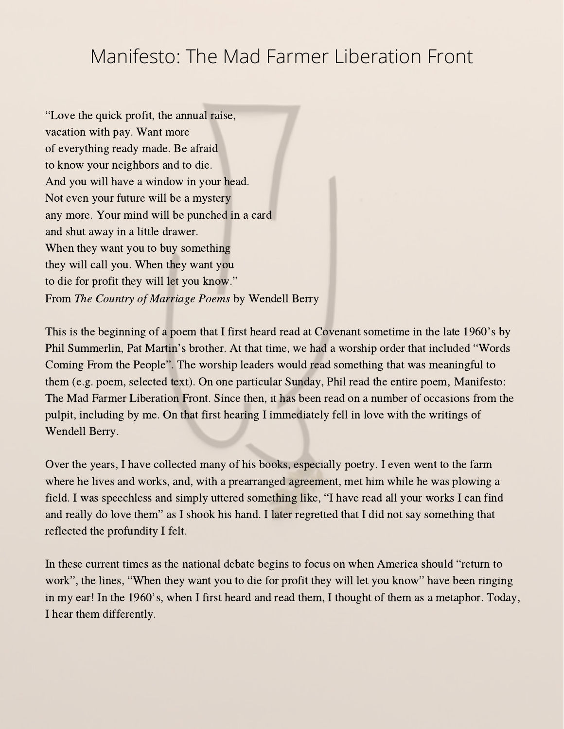## Manifesto: The Mad Farmer Liberation Front

"Love the quick profit, the annual raise, vacation with pay. Want more of everything ready made. Be afraid to know your neighbors and to die. And you will have a window in your head. Not even your future will be a mystery any more. Your mind will be punched in a card and shut away in a little drawer. When they want you to buy something they will call you. When they want you to die for profit they will let you know." From The Country of Marriage Poems by Wendell Berry

This is the beginning of <sup>a</sup> poem that <sup>I</sup> first heard read at Covenant sometime in the late 1960's by This is the beginning of a poem that I first heard read at Covenant sometime in the late 1960's by<br>Phil Summerlin, Pat Martin's brother. At that time, we had a worship order that included "Words Phil Summerlin, Pat Martin's brother. At that time, we had a worship order that included "Words<br>Coming From the People". The worship leaders would read something that was meaningful to them (e.g. poem, selected text). On one particular Sunday, Phil read the entire poem, Manifesto: The Mad Farmer Liberation Front. Since then, it has been read on a number of occasions from the pulpit, including by me. On that first hearing I immediately fell in love with the writings of Wendell Berry.

Over the years, I have collected many of his books, especially poetry. I even went to the farm where he lives and works, and, with a prearranged agreement, met him while he was plowing a where he lives and works, and, with a prearranged agreement, met him while he was plowing a field. I was speechless and simply uttered something like, "I have read all your works I can find field. I was speechless and simply uttered something like, "I have read all your works I can fin and really do love them" as I shook his hand. I later regretted that I did not say something that reflected the profundity I felt.

In these current times as the national debate begins to focus on when America should "return to work", the lines, "When they want you to die for profit they will let you know" have been ringing in my ear! In the 1960's, when <sup>I</sup> first heard and read them, <sup>I</sup> thought of them as <sup>a</sup> metaphor. Today, I hear them differently.